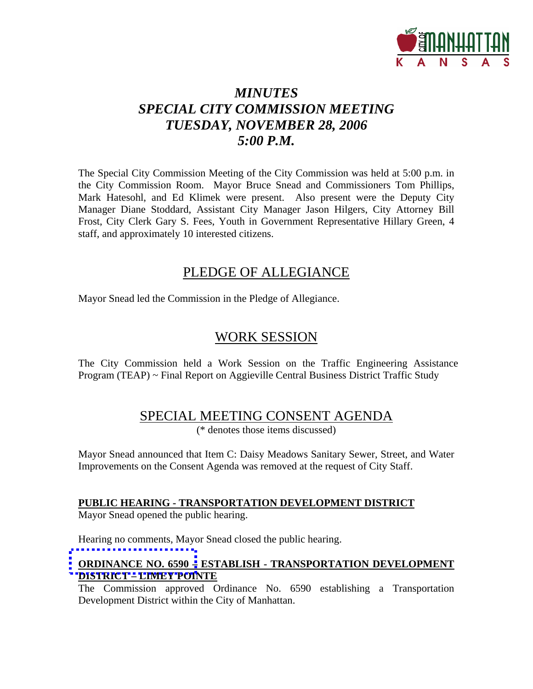

# *MINUTES SPECIAL CITY COMMISSION MEETING TUESDAY, NOVEMBER 28, 2006 5:00 P.M.*

The Special City Commission Meeting of the City Commission was held at 5:00 p.m. in the City Commission Room. Mayor Bruce Snead and Commissioners Tom Phillips, Mark Hatesohl, and Ed Klimek were present. Also present were the Deputy City Manager Diane Stoddard, Assistant City Manager Jason Hilgers, City Attorney Bill Frost, City Clerk Gary S. Fees, Youth in Government Representative Hillary Green, 4 staff, and approximately 10 interested citizens.

# PLEDGE OF ALLEGIANCE

Mayor Snead led the Commission in the Pledge of Allegiance.

## WORK SESSION

The City Commission held a Work Session on the Traffic Engineering Assistance Program (TEAP) ~ Final Report on Aggieville Central Business District Traffic Study

## SPECIAL MEETING CONSENT AGENDA

(\* denotes those items discussed)

Mayor Snead announced that Item C: Daisy Meadows Sanitary Sewer, Street, and Water Improvements on the Consent Agenda was removed at the request of City Staff.

## **PUBLIC HEARING - TRANSPORTATION DEVELOPMENT DISTRICT**

Mayor Snead opened the public hearing.

Hearing no comments, Mayor Snead closed the public hearing.

## **ORDINANCE NO. 6590 – ESTABLISH - TRANSPORTATION DEVELOPMENT DISTRICT – LIMEY POINTE**

The Commission approved Ordinance No. 6590 establishing a Transportation Development District within the City of Manhattan.